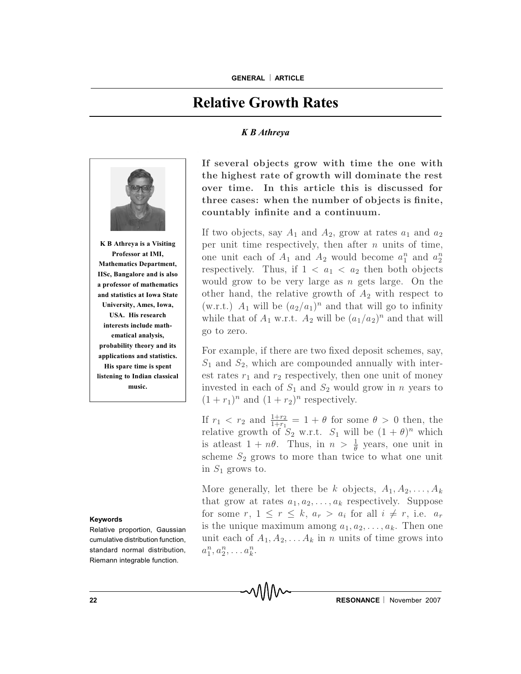## **Relative Growth Rates**

## *K B Athreya*



**K B Athreya is a Visiting Professor at IMI, Mathematics Department, IISc, Bangalore and is also a professor of mathematics and statistics at Iowa State University, Ames, Iowa, USA. His research interests include mathematical analysis, probability theory and its applications and statistics. His spare time is spent listening to Indian classical music.**

## **Keywords**

Relative proportion, Gaussian cumulative distribution function, standard normal distribution, Riemann integrable function.

If several objects grow with time the one with the highest rate of growth will dominate the rest over time. In this article this is discussed for three cases: when the number of objects is finite, countably infinite and a continuum.

If two objects, say  $A_1$  and  $A_2$ , grow at rates  $a_1$  and  $a_2$ per unit time respectively, then after  $n$  units of time, one unit each of  $A_1$  and  $A_2$  would become  $a_1^n$  and  $a_2^n$ respectively. Thus, if  $1 < a_1 < a_2$  then both objects would grow to be very large as n gets large. On the other hand, the relative growth of  $A_2$  with respect to (w.r.t.)  $A_1$  will be  $(a_2/a_1)^n$  and that will go to infinity while that of  $A_1$  w.r.t.  $A_2$  will be  $(a_1/a_2)^n$  and that will go to zero.

For example, if there are two fixed deposit schemes, say,  $S_1$  and  $S_2$ , which are compounded annually with interest rates  $r_1$  and  $r_2$  respectively, then one unit of money invested in each of  $S_1$  and  $S_2$  would grow in n years to  $(1 + r_1)^n$  and  $(1 + r_2)^n$  respectively.

If  $r_1 \, < r_2$  and  $\frac{1+r_2}{1+r_1} = 1 + \theta$  for some  $\theta > 0$  then, the relative growth of  $S_2$  w.r.t.  $S_1$  will be  $(1 + \theta)^n$  which is at least  $1 + n\theta$ . Thus, in  $n > \frac{1}{\theta}$  years, one unit in scheme  $S_2$  grows to more than twice to what one unit in  $S_1$  grows to.

More generally, let there be k objects,  $A_1, A_2, \ldots, A_k$ that grow at rates  $a_1, a_2, \ldots, a_k$  respectively. Suppose for some r,  $1 \leq r \leq k$ ,  $a_r > a_i$  for all  $i \neq r$ , i.e.  $a_r$ is the unique maximum among  $a_1, a_2, \ldots, a_k$ . Then one unit each of  $A_1, A_2, \ldots A_k$  in n units of time grows into  $a_1^n, a_2^n, \ldots a_k^n$ .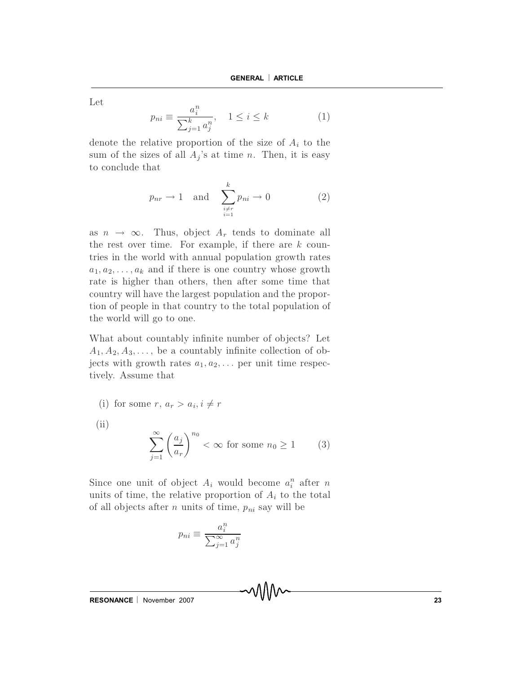Let

$$
p_{ni} \equiv \frac{a_i^n}{\sum_{j=1}^k a_j^n}, \quad 1 \le i \le k \tag{1}
$$

denote the relative proportion of the size of  $A_i$  to the sum of the sizes of all  $A_j$ 's at time n. Then, it is easy to conclude that

$$
p_{nr} \to 1 \quad \text{and} \quad \sum_{\substack{i \neq r \\ i=1}}^{k} p_{ni} \to 0 \tag{2}
$$

as  $n \to \infty$ . Thus, object  $A_r$  tends to dominate all the rest over time. For example, if there are  $k$  countries in the world with annual population growth rates  $a_1, a_2, \ldots, a_k$  and if there is one country whose growth rate is higher than others, then after some time that country will have the largest population and the proportion of people in that country to the total population of the world will go to one.

What about countably infinite number of objects? Let  $A_1, A_2, A_3, \ldots$ , be a countably infinite collection of objects with growth rates  $a_1, a_2, \ldots$  per unit time respectively. Assume that

(i) for some 
$$
r, a_r > a_i, i \neq r
$$

(ii)  

$$
\sum_{j=1}^{\infty} \left(\frac{a_j}{a_r}\right)^{n_0} < \infty \text{ for some } n_0 \ge 1
$$
 (3)

Since one unit of object  $A_i$  would become  $a_i^n$  after n units of time, the relative proportion of  $A_i$  to the total of all objects after n units of time,  $p_{ni}$  say will be

$$
p_{ni} \equiv \frac{a_i^n}{\sum_{j=1}^{\infty} a_j^n}
$$

 $RESONANCE | November 2007$  23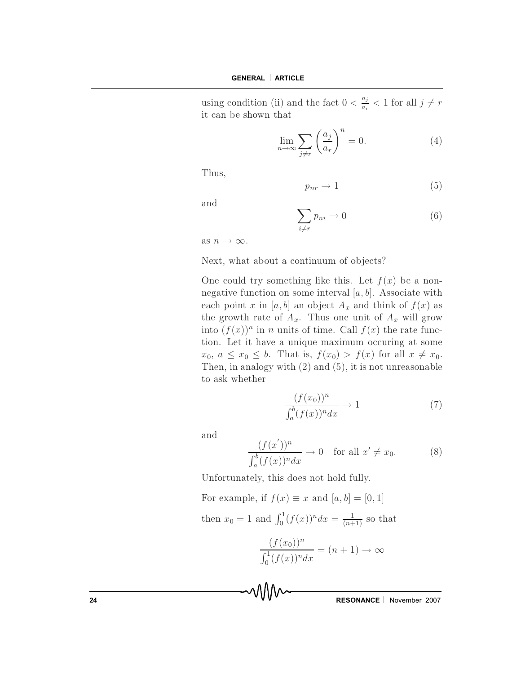using condition (ii) and the fact  $0 < \frac{a_j}{a_r} < 1$  for all  $j \neq r$ it can be shown that

$$
\lim_{n \to \infty} \sum_{j \neq r} \left(\frac{a_j}{a_r}\right)^n = 0.
$$
 (4)

Thus,

$$
p_{nr} \to 1 \tag{5}
$$

and

$$
\sum_{i \neq r} p_{ni} \to 0 \tag{6}
$$

as  $n \to \infty$ .

Next, what about a continuum of objects?

One could try something like this. Let  $f(x)$  be a nonnegative function on some interval  $[a, b]$ . Associate with each point x in [a, b] an object  $A_x$  and think of  $f(x)$  as the growth rate of  $A_x$ . Thus one unit of  $A_x$  will grow into  $(f(x))^n$  in *n* units of time. Call  $f(x)$  the rate function. Let it have a unique maximum occuring at some  $x_0, a \leq x_0 \leq b$ . That is,  $f(x_0) > f(x)$  for all  $x \neq x_0$ . Then, in analogy with  $(2)$  and  $(5)$ , it is not unreasonable to ask whether

$$
\frac{(f(x_0))^n}{\int_a^b (f(x))^n dx} \to 1
$$
\n(7)

and

$$
\frac{(f(x'))^n}{\int_a^b (f(x))^n dx} \to 0 \quad \text{for all } x' \neq x_0.
$$
 (8)

Unfortunately, this does not hold fully.

For example, if  $f(x) \equiv x$  and  $[a, b] = [0, 1]$ then  $x_0 = 1$  and  $\int_0^1 (f(x))^n dx = \frac{1}{(n+1)}$  so that

$$
\frac{(f(x_0))^n}{\int_0^1 (f(x))^n dx} = (n+1) \to \infty
$$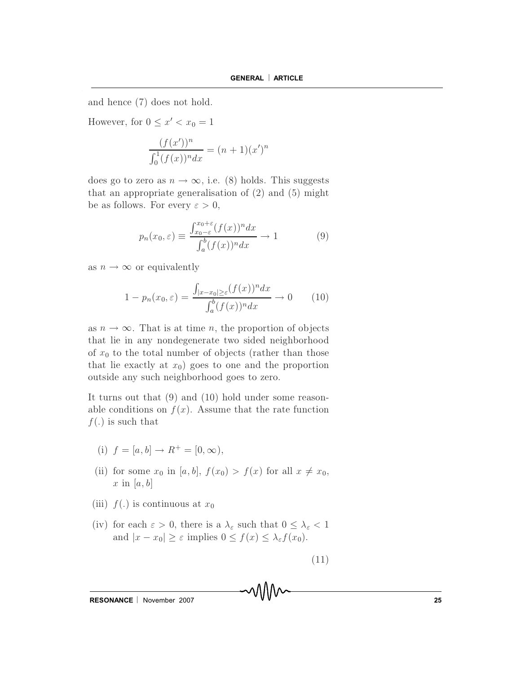and hence (7) does not hold.

However, for  $0 \leq x' < x_0 = 1$ 

$$
\frac{(f(x'))^n}{\int_0^1 (f(x))^n dx} = (n+1)(x')^n
$$

does go to zero as  $n \to \infty$ , i.e. (8) holds. This suggests that an appropriate generalisation of  $(2)$  and  $(5)$  might be as follows. For every  $\varepsilon > 0$ ,

$$
p_n(x_0, \varepsilon) \equiv \frac{\int_{x_0 - \varepsilon}^{x_0 + \varepsilon} (f(x))^n dx}{\int_a^b (f(x))^n dx} \to 1
$$
 (9)

as  $n \to \infty$  or equivalently

$$
1 - p_n(x_0, \varepsilon) = \frac{\int_{|x - x_0| \ge \varepsilon} (f(x))^n dx}{\int_a^b (f(x))^n dx} \to 0 \qquad (10)
$$

as  $n \to \infty$ . That is at time *n*, the proportion of objects that lie in any nondegenerate two sided neighborhood of  $x_0$  to the total number of objects (rather than those that lie exactly at  $x_0$ ) goes to one and the proportion outside any such neighborhood goes to zero.

It turns out that  $(9)$  and  $(10)$  hold under some reasonable conditions on  $f(x)$ . Assume that the rate function  $f(.)$  is such that

- (i)  $f = [a, b] \rightarrow R^+ = [0, \infty),$
- (ii) for some  $x_0$  in [a, b],  $f(x_0) > f(x)$  for all  $x \neq x_0$ , x in [a, b]
- (iii)  $f(.)$  is continuous at  $x_0$
- (iv) for each  $\varepsilon > 0$ , there is a  $\lambda_{\varepsilon}$  such that  $0 \leq \lambda_{\varepsilon} < 1$ and  $|x - x_0| \ge \varepsilon$  implies  $0 \le f(x) \le \lambda_{\varepsilon} f(x_0)$ .

$$
(11)
$$

MM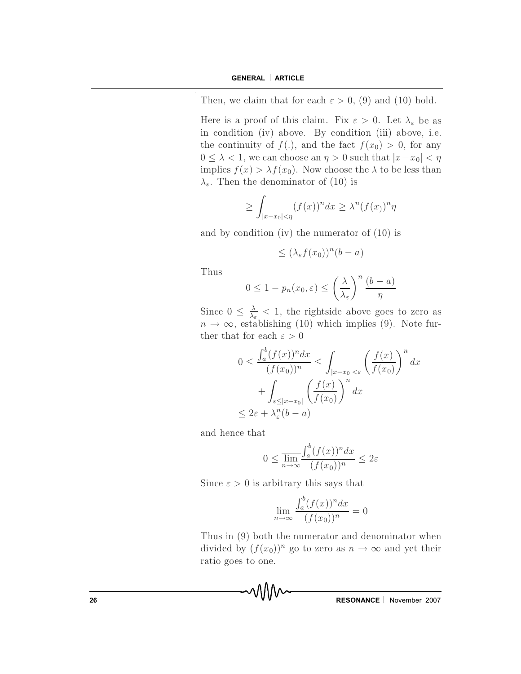Then, we claim that for each  $\varepsilon > 0$ , (9) and (10) hold.

Here is a proof of this claim. Fix  $\varepsilon > 0$ . Let  $\lambda_{\varepsilon}$  be as in condition (iv) above. By condition (iii) above, i.e. the continuity of  $f(.)$ , and the fact  $f(x_0) > 0$ , for any  $0 \leq \lambda < 1$ , we can choose an  $\eta > 0$  such that  $|x-x_0| < \eta$ implies  $f(x) > \lambda f(x_0)$ . Now choose the  $\lambda$  to be less than  $\lambda_{\varepsilon}$ . Then the denominator of (10) is

$$
\geq \int_{|x-x_0|<\eta} (f(x))^n dx \geq \lambda^n (f(x))^n \eta
$$

and by condition (iv) the numerator of  $(10)$  is

$$
\leq (\lambda_{\varepsilon} f(x_0))^n (b-a)
$$

Thus

$$
0 \le 1 - p_n(x_0, \varepsilon) \le \left(\frac{\lambda}{\lambda_{\varepsilon}}\right)^n \frac{(b-a)}{\eta}
$$

Since  $0 \leq \frac{\lambda}{\lambda_{\varepsilon}} < 1$ , the rightside above goes to zero as  $n \to \infty$ , establishing (10) which implies (9). Note further that for each  $\varepsilon > 0$ 

$$
0 \le \frac{\int_a^b (f(x))^n dx}{(f(x_0))^n} \le \int_{|x-x_0| < \varepsilon} \left(\frac{f(x)}{f(x_0)}\right)^n dx
$$
  
+ 
$$
\int_{\varepsilon \le |x-x_0|} \left(\frac{f(x)}{f(x_0)}\right)^n dx
$$
  

$$
\le 2\varepsilon + \lambda_{\varepsilon}^n (b-a)
$$

and hence that

$$
0 \le \frac{\lim_{n \to \infty} \int_a^b (f(x))^n dx}{(f(x_0))^n} \le 2\varepsilon
$$

Since  $\varepsilon > 0$  is arbitrary this says that

$$
\lim_{n \to \infty} \frac{\int_a^b (f(x))^n dx}{(f(x_0))^n} = 0
$$

Thus in (9) both the numerator and denominator when divided by  $(f(x_0))^n$  go to zero as  $n \to \infty$  and yet their ratio goes to one.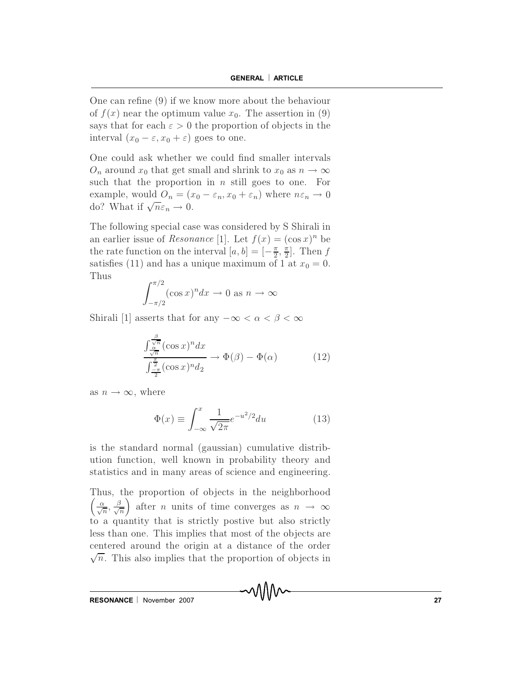One can refine  $(9)$  if we know more about the behaviour of  $f(x)$  near the optimum value  $x_0$ . The assertion in (9) says that for each  $\varepsilon > 0$  the proportion of objects in the interval  $(x_0 - \varepsilon, x_0 + \varepsilon)$  goes to one.

One could ask whether we could find smaller intervals  $O_n$  around  $x_0$  that get small and shrink to  $x_0$  as  $n \to \infty$ such that the proportion in  $n$  still goes to one. For example, would  $O_n = (x_0 - \varepsilon_n, x_0 + \varepsilon_n)$  where  $n\varepsilon_n \to 0$ do? What if  $\sqrt{n}\varepsilon_n \to 0$ .

The following special case was considered by S Shirali in an earlier issue of *Resonance* [1]. Let  $f(x) = (\cos x)^n$  be the rate function on the interval  $[a, b] = [-\frac{\pi}{2}, \frac{\pi}{2}]$ . Then f satisfies (11) and has a unique maximum of 1 at  $x_0 = 0$ . Thus

$$
\int_{-\pi/2}^{\pi/2} (\cos x)^n dx \to 0 \text{ as } n \to \infty
$$

Shirali [1] asserts that for any  $-\infty < \alpha < \beta < \infty$ 

$$
\frac{\int_{\frac{\alpha}{\sqrt{n}}}^{\frac{\beta}{\sqrt{n}}} (\cos x)^n dx}{\int_{\frac{\pi}{2}}^{\frac{\pi}{2}} (\cos x)^n dz} \to \Phi(\beta) - \Phi(\alpha)
$$
 (12)

as  $n \to \infty$ , where

$$
\Phi(x) \equiv \int_{-\infty}^{x} \frac{1}{\sqrt{2\pi}} e^{-u^2/2} du \tag{13}
$$

MM

is the standard normal (gaussian) cumulative distribution function, well known in probability theory and statistics and in many areas of science and engineering.

Thus, the proportion of objects in the neighborhood  $\left(\frac{\alpha}{\sqrt{n}}, \frac{\beta}{\sqrt{n}}\right)$  after *n* units of time converges as  $n \to \infty$ to a quantity that is strictly postive but also strictly less than one. This implies that most of the objects are centered around the origin at a distance of the order  $\sqrt{n}$ . This also implies that the proportion of objects in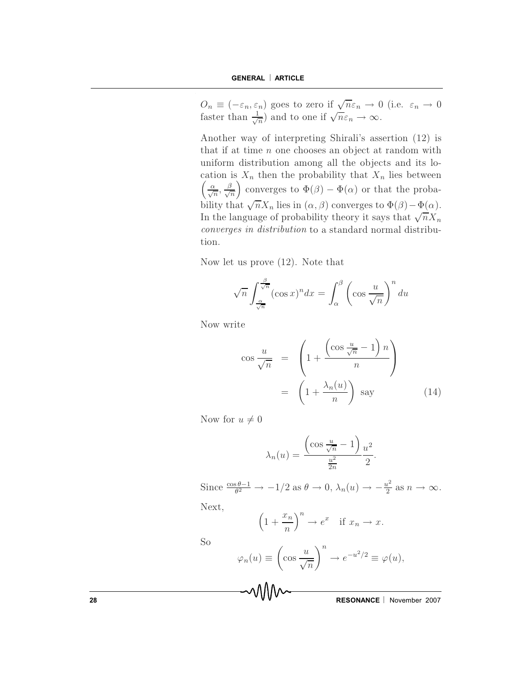$O_n \equiv (-\varepsilon_n, \varepsilon_n)$  goes to zero if  $\sqrt{n}\varepsilon_n \to 0$  (i.e.  $\varepsilon_n \to 0$ faster than  $\frac{1}{\sqrt{n}}$  and to one if  $\sqrt{n}\varepsilon_n \to \infty$ .

Another way of interpreting Shirali's assertion (12) is that if at time  $n$  one chooses an object at random with uniform distribution among all the objects and its location is  $X_n$  then the probability that  $X_n$  lies between  $\left(\frac{\alpha}{\sqrt{n}}, \frac{\beta}{\sqrt{n}}\right)$  converges to  $\Phi(\beta) - \Phi(\alpha)$  or that the probability that  $\sqrt{n}X_n$  lies in  $(\alpha, \beta)$  converges to  $\Phi(\beta) - \Phi(\alpha)$ . In the language of probability theory it says that  $\sqrt{n}X_n$ converges in distribution to a standard normal distribution.

Now let us prove  $(12)$ . Note that

$$
\sqrt{n} \int_{\frac{\alpha}{\sqrt{n}}}^{\frac{\beta}{\sqrt{n}}} (\cos x)^n dx = \int_{\alpha}^{\beta} \left( \cos \frac{u}{\sqrt{n}} \right)^n du
$$

Now write

$$
\cos \frac{u}{\sqrt{n}} = \left( 1 + \frac{\left( \cos \frac{u}{\sqrt{n}} - 1 \right) n}{n} \right)
$$

$$
= \left( 1 + \frac{\lambda_n(u)}{n} \right) \text{ say} \qquad (14)
$$

Now for  $u \neq 0$ 

$$
\lambda_n(u) = \frac{\left(\cos\frac{u}{\sqrt{n}} - 1\right)}{\frac{u^2}{2n}} \frac{u^2}{2}.
$$

Since  $\frac{\cos \theta - 1}{\theta^2} \to -1/2$  as  $\theta \to 0$ ,  $\lambda_n(u) \to -\frac{u^2}{2}$  as  $n \to \infty$ .

Next,

$$
\left(1 + \frac{x_n}{n}\right)^n \to e^x \quad \text{if } x_n \to x.
$$

So

$$
\varphi_n(u) \equiv \left(\cos \frac{u}{\sqrt{n}}\right)^n \to e^{-u^2/2} \equiv \varphi(u),
$$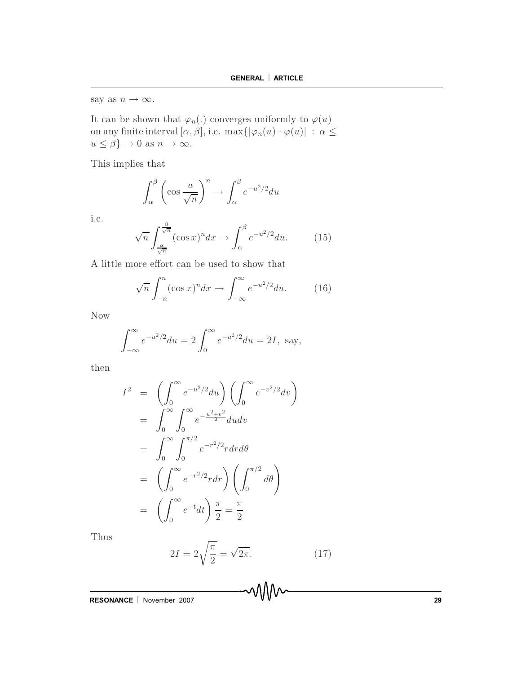say as  $n \to \infty$ .

It can be shown that  $\varphi_n(.)$  converges uniformly to  $\varphi(u)$ <br>on any finite interval  $[\alpha, \beta]$ , i.e.  $\max\{|\varphi_n(u) - \varphi(u)| : \alpha \leq$  $u \leq \beta$   $\rightarrow$  0 as  $n \rightarrow \infty$ .

This implies that

$$
\int_{\alpha}^{\beta} \left( \cos \frac{u}{\sqrt{n}} \right)^n \to \int_{\alpha}^{\beta} e^{-u^2/2} du
$$

i.e.

$$
\sqrt{n} \int_{\frac{\alpha}{\sqrt{n}}}^{\frac{\beta}{\sqrt{n}}} (\cos x)^n dx \to \int_{\alpha}^{\beta} e^{-u^2/2} du. \tag{15}
$$

A little more effort can be used to show that

$$
\sqrt{n}\int_{-n}^{n}(\cos x)^{n}dx \to \int_{-\infty}^{\infty}e^{-u^{2}/2}du. \qquad (16)
$$

Now

$$
\int_{-\infty}^{\infty} e^{-u^2/2} du = 2 \int_{0}^{\infty} e^{-u^2/2} du = 2I, \text{ say,}
$$

 $_{\rm then}$ 

$$
I^{2} = \left(\int_{0}^{\infty} e^{-u^{2}/2} du\right) \left(\int_{0}^{\infty} e^{-v^{2}/2} dv\right)
$$
  
\n
$$
= \int_{0}^{\infty} \int_{0}^{\infty} e^{-\frac{u^{2}+v^{2}}{2}} du dv
$$
  
\n
$$
= \int_{0}^{\infty} \int_{0}^{\pi/2} e^{-r^{2}/2} r dr d\theta
$$
  
\n
$$
= \left(\int_{0}^{\infty} e^{-r^{2}/2} r dr\right) \left(\int_{0}^{\pi/2} d\theta\right)
$$
  
\n
$$
= \left(\int_{0}^{\infty} e^{-t} dt\right) \frac{\pi}{2} = \frac{\pi}{2}
$$

Thus

$$
2I = 2\sqrt{\frac{\pi}{2}} = \sqrt{2\pi}.\tag{17}
$$

MM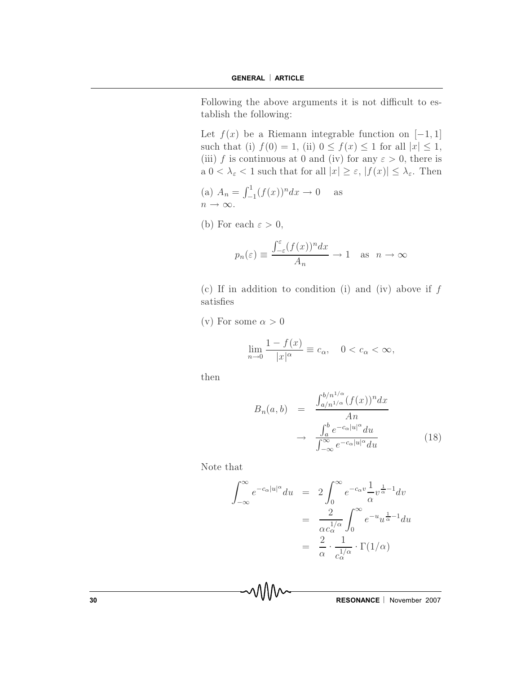Following the above arguments it is not difficult to establish the following:

Let  $f(x)$  be a Riemann integrable function on  $[-1, 1]$ such that (i)  $f(0) = 1$ , (ii)  $0 \le f(x) \le 1$  for all  $|x| \le 1$ , (iii) f is continuous at 0 and (iv) for any  $\varepsilon > 0$ , there is a  $0 < \lambda_{\varepsilon} < 1$  such that for all  $|x| \geq \varepsilon$ ,  $|f(x)| \leq \lambda_{\varepsilon}$ . Then

- (a)  $A_n = \int_{-1}^{1} (f(x))^n dx \to 0$  as  $n \to \infty$ .
- (b) For each  $\varepsilon > 0$ ,

$$
p_n(\varepsilon) \equiv \frac{\int_{-\varepsilon}^{\varepsilon} (f(x))^n dx}{A_n} \to 1 \quad \text{as} \quad n \to \infty
$$

(c) If in addition to condition (i) and (iv) above if  $f$ satisfies

(v) For some  $\alpha > 0$ 

$$
\lim_{n \to 0} \frac{1 - f(x)}{|x|^{\alpha}} \equiv c_{\alpha}, \quad 0 < c_{\alpha} < \infty,
$$

then

$$
B_n(a,b) = \frac{\int_{a/n^{1/\alpha}}^{b/n^{1/\alpha}} (f(x))^n dx}{An}
$$

$$
\rightarrow \frac{\int_a^b e^{-c_\alpha |u|^\alpha} du}{\int_{-\infty}^{\infty} e^{-c_\alpha |u|^\alpha} du}
$$
(18)

Note that

$$
\int_{-\infty}^{\infty} e^{-c_{\alpha}|u|^{\alpha}} du = 2 \int_{0}^{\infty} e^{-c_{\alpha}v} \frac{1}{\alpha} v^{\frac{1}{\alpha}-1} dv
$$

$$
= \frac{2}{\alpha c_{\alpha}^{1/\alpha}} \int_{0}^{\infty} e^{-u} u^{\frac{1}{\alpha}-1} du
$$

$$
= \frac{2}{\alpha} \cdot \frac{1}{c_{\alpha}^{1/\alpha}} \cdot \Gamma(1/\alpha)
$$

WW